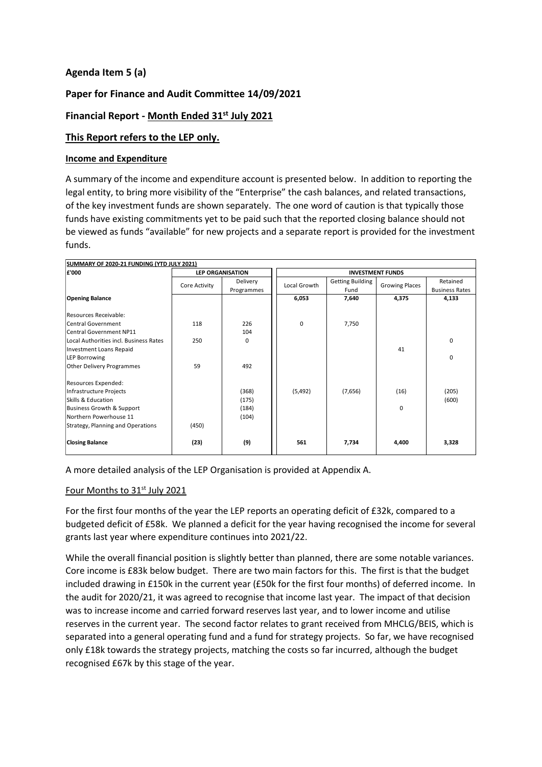## **Agenda Item 5 (a)**

## **Paper for Finance and Audit Committee 14/09/2021**

## **Financial Report - Month Ended 31 st July 2021**

### **This Report refers to the LEP only.**

#### **Income and Expenditure**

A summary of the income and expenditure account is presented below. In addition to reporting the legal entity, to bring more visibility of the "Enterprise" the cash balances, and related transactions, of the key investment funds are shown separately. The one word of caution is that typically those funds have existing commitments yet to be paid such that the reported closing balance should not be viewed as funds "available" for new projects and a separate report is provided for the investment funds.

| SUMMARY OF 2020-21 FUNDING (YTD JULY 2021) |               |                         |                         |                         |                       |                       |  |
|--------------------------------------------|---------------|-------------------------|-------------------------|-------------------------|-----------------------|-----------------------|--|
| £'000                                      |               | <b>LEP ORGANISATION</b> | <b>INVESTMENT FUNDS</b> |                         |                       |                       |  |
|                                            | Core Activity | Delivery                | Local Growth            | <b>Getting Building</b> | <b>Growing Places</b> | Retained              |  |
|                                            |               | Programmes              |                         | Fund                    |                       | <b>Business Rates</b> |  |
| <b>Opening Balance</b>                     |               |                         | 6,053                   | 7,640                   | 4,375                 | 4,133                 |  |
|                                            |               |                         |                         |                         |                       |                       |  |
| Resources Receivable:                      |               |                         |                         |                         |                       |                       |  |
| <b>Central Government</b>                  | 118           | 226                     | 0                       | 7,750                   |                       |                       |  |
| <b>Central Government NP11</b>             |               | 104                     |                         |                         |                       |                       |  |
| Local Authorities incl. Business Rates     | 250           | 0                       |                         |                         |                       | 0                     |  |
| <b>Investment Loans Repaid</b>             |               |                         |                         |                         | 41                    |                       |  |
| <b>LEP Borrowing</b>                       |               |                         |                         |                         |                       | 0                     |  |
| Other Delivery Programmes                  | 59            | 492                     |                         |                         |                       |                       |  |
|                                            |               |                         |                         |                         |                       |                       |  |
| Resources Expended:                        |               |                         |                         |                         |                       |                       |  |
| Infrastructure Projects                    |               | (368)                   | (5,492)                 | (7,656)                 | (16)                  | (205)                 |  |
| Skills & Education                         |               | (175)                   |                         |                         |                       | (600)                 |  |
| Business Growth & Support                  |               | (184)                   |                         |                         | $\Omega$              |                       |  |
| Northern Powerhouse 11                     |               | (104)                   |                         |                         |                       |                       |  |
| Strategy, Planning and Operations          | (450)         |                         |                         |                         |                       |                       |  |
|                                            |               |                         |                         |                         |                       |                       |  |
| <b>Closing Balance</b>                     | (23)          | (9)                     | 561                     | 7,734                   | 4,400                 | 3,328                 |  |
|                                            |               |                         |                         |                         |                       |                       |  |

A more detailed analysis of the LEP Organisation is provided at Appendix A.

#### Four Months to 31<sup>st</sup> July 2021

For the first four months of the year the LEP reports an operating deficit of £32k, compared to a budgeted deficit of £58k. We planned a deficit for the year having recognised the income for several grants last year where expenditure continues into 2021/22.

While the overall financial position is slightly better than planned, there are some notable variances. Core income is £83k below budget. There are two main factors for this. The first is that the budget included drawing in £150k in the current year (£50k for the first four months) of deferred income. In the audit for 2020/21, it was agreed to recognise that income last year. The impact of that decision was to increase income and carried forward reserves last year, and to lower income and utilise reserves in the current year. The second factor relates to grant received from MHCLG/BEIS, which is separated into a general operating fund and a fund for strategy projects. So far, we have recognised only £18k towards the strategy projects, matching the costs so far incurred, although the budget recognised £67k by this stage of the year.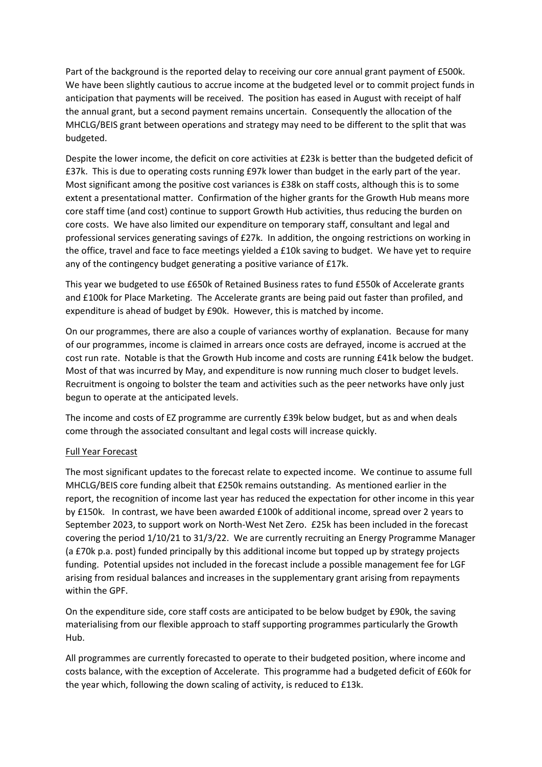Part of the background is the reported delay to receiving our core annual grant payment of £500k. We have been slightly cautious to accrue income at the budgeted level or to commit project funds in anticipation that payments will be received. The position has eased in August with receipt of half the annual grant, but a second payment remains uncertain. Consequently the allocation of the MHCLG/BEIS grant between operations and strategy may need to be different to the split that was budgeted.

Despite the lower income, the deficit on core activities at £23k is better than the budgeted deficit of £37k. This is due to operating costs running £97k lower than budget in the early part of the year. Most significant among the positive cost variances is £38k on staff costs, although this is to some extent a presentational matter. Confirmation of the higher grants for the Growth Hub means more core staff time (and cost) continue to support Growth Hub activities, thus reducing the burden on core costs. We have also limited our expenditure on temporary staff, consultant and legal and professional services generating savings of £27k. In addition, the ongoing restrictions on working in the office, travel and face to face meetings yielded a £10k saving to budget. We have yet to require any of the contingency budget generating a positive variance of £17k.

This year we budgeted to use £650k of Retained Business rates to fund £550k of Accelerate grants and £100k for Place Marketing. The Accelerate grants are being paid out faster than profiled, and expenditure is ahead of budget by £90k. However, this is matched by income.

On our programmes, there are also a couple of variances worthy of explanation. Because for many of our programmes, income is claimed in arrears once costs are defrayed, income is accrued at the cost run rate. Notable is that the Growth Hub income and costs are running £41k below the budget. Most of that was incurred by May, and expenditure is now running much closer to budget levels. Recruitment is ongoing to bolster the team and activities such as the peer networks have only just begun to operate at the anticipated levels.

The income and costs of EZ programme are currently £39k below budget, but as and when deals come through the associated consultant and legal costs will increase quickly.

#### Full Year Forecast

The most significant updates to the forecast relate to expected income. We continue to assume full MHCLG/BEIS core funding albeit that £250k remains outstanding. As mentioned earlier in the report, the recognition of income last year has reduced the expectation for other income in this year by £150k. In contrast, we have been awarded £100k of additional income, spread over 2 years to September 2023, to support work on North-West Net Zero. £25k has been included in the forecast covering the period 1/10/21 to 31/3/22. We are currently recruiting an Energy Programme Manager (a £70k p.a. post) funded principally by this additional income but topped up by strategy projects funding. Potential upsides not included in the forecast include a possible management fee for LGF arising from residual balances and increases in the supplementary grant arising from repayments within the GPF.

On the expenditure side, core staff costs are anticipated to be below budget by £90k, the saving materialising from our flexible approach to staff supporting programmes particularly the Growth Hub.

All programmes are currently forecasted to operate to their budgeted position, where income and costs balance, with the exception of Accelerate. This programme had a budgeted deficit of £60k for the year which, following the down scaling of activity, is reduced to £13k.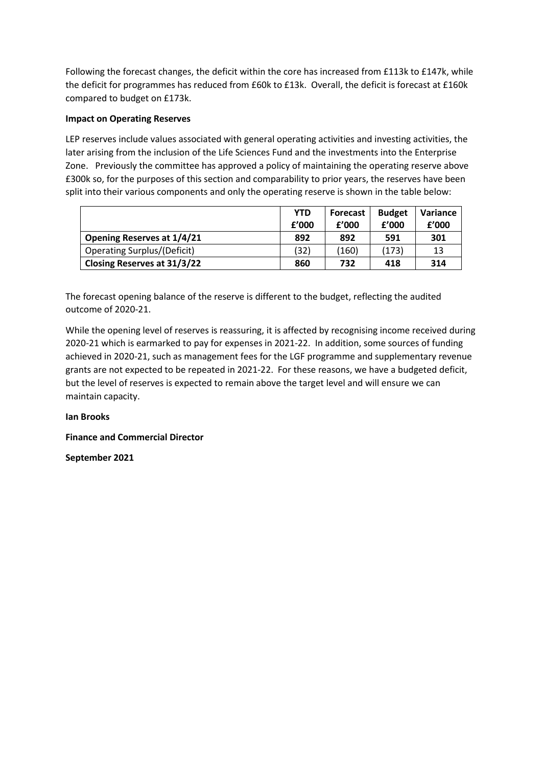Following the forecast changes, the deficit within the core has increased from £113k to £147k, while the deficit for programmes has reduced from £60k to £13k. Overall, the deficit is forecast at £160k compared to budget on £173k.

#### **Impact on Operating Reserves**

LEP reserves include values associated with general operating activities and investing activities, the later arising from the inclusion of the Life Sciences Fund and the investments into the Enterprise Zone. Previously the committee has approved a policy of maintaining the operating reserve above £300k so, for the purposes of this section and comparability to prior years, the reserves have been split into their various components and only the operating reserve is shown in the table below:

|                                    | <b>YTD</b> | <b>Forecast</b> | <b>Budget</b> | Variance |
|------------------------------------|------------|-----------------|---------------|----------|
|                                    | f'000      | f'000           | f'000         | f'000    |
| <b>Opening Reserves at 1/4/21</b>  | 892        | 892             | 591           | 301      |
| <b>Operating Surplus/(Deficit)</b> | (32)       | (160)           | (173)         | 13       |
| <b>Closing Reserves at 31/3/22</b> | 860        | 732             | 418           | 314      |

The forecast opening balance of the reserve is different to the budget, reflecting the audited outcome of 2020-21.

While the opening level of reserves is reassuring, it is affected by recognising income received during 2020-21 which is earmarked to pay for expenses in 2021-22. In addition, some sources of funding achieved in 2020-21, such as management fees for the LGF programme and supplementary revenue grants are not expected to be repeated in 2021-22. For these reasons, we have a budgeted deficit, but the level of reserves is expected to remain above the target level and will ensure we can maintain capacity.

#### **Ian Brooks**

**Finance and Commercial Director**

**September 2021**